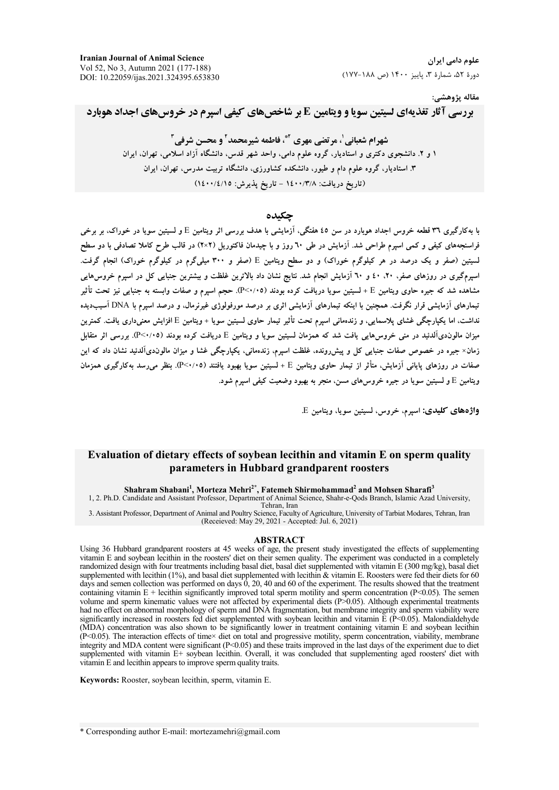#### مقاله پژوهشي:

**بررسی آثار تغذیهای لسیتین سویا و ویتامین E بر شاخصهای کیفی اسیرم در خروسهای اجداد هوبارد** 

شهرام شعبانی'، مرتضی مهری آ\*، فاطمه شیرمحمد' و محسن شرفی آ ۱ و ۲. دانشجوی دکتری و استادیار، گروه علوم دامی، واحد شهر قدس، دانشگاه آزاد اسلامی، تهران، ایران ۳. استادیار، گروه علوم دام و طیور، دانشکده کشاورزی، دانشگاه تربیت مدرس، تهران، ایران (تاریخ دریافت: ۱٤٠٠/٣/٨ - تاریخ پذیرش: ١٤٠٠/٤/١٥)

### جكىدە

.<br>با بهکارگیری ۳۱ قطعه خروس اجداد هویارد در سن ٤٥ هفتگی، آزمایشی با هدف بررسی اثر ویتامین E و لسیتین سویا در خوراک، بر برخی فراسنجههای کیفی و کمی اسپرم طراحی شد. آزمایش در طی ٦٠ روز و با چیدمان فاکتوریل (٢×٢) در قالب طرح کاملا تصادفی با دو سطح لسیتین (صفر و یک درصد در هر کیلوگرم خوراک) و دو سطح ویتامین E (صفر و ۳۰۰ میلیگرم در کیلوگرم خوراک) انجام گرفت. اسیومگیری در روزهای صفر، ۲۰، ٤٠ و ۲۰ آزمایش انجام شد. نتایج نشان داد بالاترین غلظت و بیشترین جنبایی کل در اسیوم خروس هایی مشاهده شد که جیره حاوی ویتامین E + لسیتین سویا دریافت کرده بودند (P<۰/۰۵). حجم اسیرم و صفات وابسته به جنبایی نیز تحت تأثیر تیمارهای آزمایشی قرار نگرفت. همچنین با اینکه تیمارهای آزمایشی اثری بر درصد مورفولوژی غیرنرمال، و درصد اسیرم با DNA آسیبدیده نداشت، اما يكيارچگي غشاي يلاسمايي، و زندهماني اسيرم تحت تأثير تيمار حاوي لسيتين سويا + ويتامين E افزايش معنىداري يافت. كمترين میزان مالون۵، آلدئید در منی خروس هایی یافت شد که همزمان لسیتین سویا و ویتامین E دریافت کرده بودند (۴/۰/۰۵). بورسی اثر متقابل زمان× جیره در خصوص صفات جنبایی کل و پیشررونده، غلظت اسپرم، زندهمانی، یکپارچگی غشا و میزان مالوندیآلدئید نشان داد که این صفات در روزهای پایانی آزمایش، متأثر از تیمار حاوی ویتامین E + لسیتین سوپا بهبود یافتند (P<۰/۰۵). بنظر می رسد بهکارگیری همزمان ویتامین E و لسیتین سویا در جیره خروس۵ای مسن، منجر به بهبود وضعیت کیفی اسیرم شود.

واژههای کلیدی: اسیرم، خروس، لسیتین سویا، ویتامین E.

## Evaluation of dietary effects of soybean lecithin and vitamin E on sperm quality parameters in Hubbard grandparent roosters

Shahram Shabani<sup>1</sup>, Morteza Mehri<sup>2\*</sup>, Fatemeh Shirmohammad<sup>2</sup> and Mohsen Sharafi<sup>3</sup>

1, 2. Ph.D. Candidate and Assistant Professor, Department of Animal Science, Shahr-e-Qods Branch, Islamic Azad University, Tehran, Iran

3. Assistant Professor, Department of Animal and Poultry Science, Faculty of Agriculture, University of Tarbiat Modares, Tehran, Iran (Receieved: May 29, 2021 - Accepted: Jul. 6, 2021)

#### **ABSTRACT**

Using 36 Hubbard grandparent roosters at 45 weeks of age, the present study investigated the effects of supplementing vitamin E and soybean lecithin in the roosters' diet on their semen quality. The experiment was conducted in a completely randomized design with four treatments including basal diet, basal diet supplemented with vitamin E (300 mg/kg), basal diet supplemented with lecithin (1%), and basal diet supplemented with lecithin & vitamin E. Roosters were fed their diets for 60 days and semen collection was performed on days  $\hat{0}$ , 20, 40 and 60 of the experiment. The results showed that the treatment containing vitamin  $E +$  lecithin significantly improved total sperm motility and sperm concentration ( $P \le 0.05$ ). The semen volume and sperm kinematic values were not affected by experimental diets (P>0.05). Although experimental treatments had no effect on abnormal morphology of sperm and DNA fragmentation, but membrane integrity and sperm viability were significantly increased in roosters fed diet supplemented with soybean lecithin and vitamin  $\tilde{E}$  ( $\tilde{P}$ <0.05). Malondialdehyde (MDA) concentration was also shown to be significantly lower in treatment containing vitamin E and soybean lecithin (P<0.05). The interaction effects of time× diet on total and progressive motility, sperm concentration, viability, membrane integrity and MDA content were significant  $(P<0.05)$  and these traits improved in the last days of the experiment due to diet supplemented with vitamin E+ soybean lecithin. Overall, it was concluded that supplementing aged roosters' diet with vitamin E and lecithin appears to improve sperm quality traits.

Keywords: Rooster, soybean lecithin, sperm, vitamin E.

\* Corresponding author E-mail: mortezamehri@gmail.com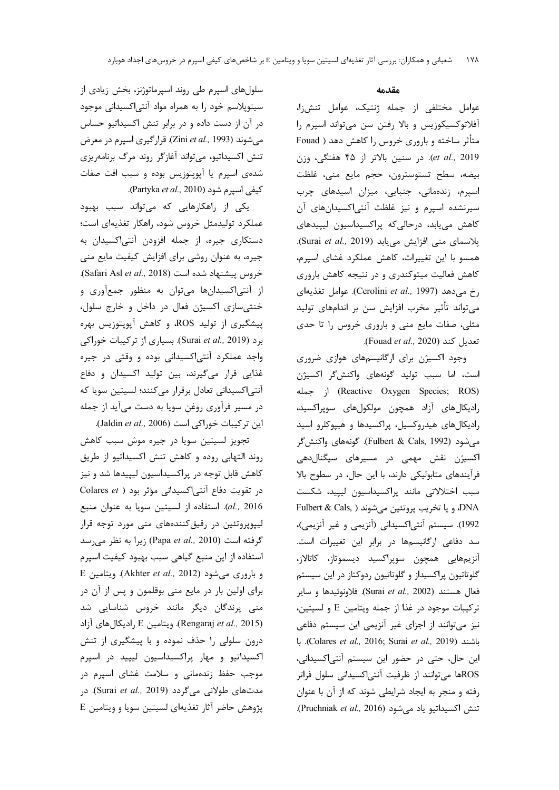سلولهای اسپرم طی روند اسپرماتوژنز، بخش زیادی از سیتوپلاسم خود را به همراه مواد آنتی|کسیدانی موجود در آن از دست داده و در برابر تنش اکسیداتیو حساس میشوند (Zini et al., 1993). قرار گیری اسپرم در معرض تنش اکسیداتیو، میتواند آغازگر روند مرگ برنامهریزی شدهی اسپرم یا آپویتوزیس بوده و سبب افت صفات كيفي اسيرم شود (Partyka et al., 2010).

یکی از راهکارهایی که میتواند سبب بهبود عملکرد تولیدمثل خروس شود، راهکار تغذیهای است؛ دستکاری جیره، از جمله افزودن آنتیاکسیدان به جیره، به عنوان روشی برای افزایش کیفیت مایع منی خروس پیشنهاد شده است (Safari Asl et al., 2018). از آنتیاکسیدانها میتوان به منظور جمعآوری و خنثی سازی اکسیژن فعال در داخل و خارج سلول، پیشگیری از تولید ROS، و کاهش آپوپتوزیس بهره برد (Surai et al., 2019). بسیاری از ترکیبات خوراکی واجد عملکرد آنتی اکسیدانی بوده و وقتی در جیره غذایی قرار میگیرند، بین تولید اکسیدان و دفاع آنتی اکسیدانی تعادل برقرار میکنند؛ لسیتین سویا که در مسير فرآوري روغن سويا به دست مي آيد از جمله این ترکیبات خوراکی است (Jaldin et al., 2006).

تجویز لسیتین سویا در جیره موش سبب کاهش روند التهابي روده و كاهش تنش اكسيداتيو از طريق کاهش قابل توجه در پراکسیداسیون لیپیدها شد و نیز در تقویت دفاع آنتی اکسیدانی مؤثر بود ( Colares et al., 2016). استفاده از لسيتين سويا به عنوان منبع لیپوپروتئین در رقیق کنندههای منی مورد توجه قرار گرفته است (Papa et al., 2010) زيرا به نظر مى رسد استفاده از این منبع گیاهی سبب بهبود کیفیت اسپرم E و باروری می شود (Akhter et al., 2012). ویتامین برای اولین بار در مایع منی بوقلمون و پس از آن در منی پرندگان دیگر مانند خروس شناسایی شد (Rengaraj et al., 2015). ويتامين E راديكال هاي آزاد درون سلولی را حذف نموده و با پیشگیری از تنش اکسیداتیو و مهار پراکسیداسیون لیپید در اسپرم موجب حفظ زندهمانی و سلامت غشای اسپرم در مدتهای طولانی میگردد (Surai et al., 2019). در  $E$  پژوهش حاضر آثار تغذیهای لسیتین سویا و ویتامین

### مقدمه

عوامل مختلفی از جمله ژنتیک، عوامل تنش;ا، آفلاتوکسیکوزیس و بالا رفتن سن میتواند اسپرم را متأثر ساخته و باروری خروس را کاهش دهد ( Fouad et al., 2019). در سنين بالاتر از ۴۵ هفتگی، وزن بيضه، سطح تستوسترون، حجم مايع مني، غلظت اسپرم، زندهمانی، جنبایی، میزان اسیدهای چرب سیرنشده اسپرم و نیز غلظت آنتیاکسیدانهای آن کاهش می یابد، در حالی که پراکسیداسیون لیپیدهای يلاسماي مني افزايش مي يابد (Surai et al., 2019). همسو با این تغییرات، کاهش عملکرد غشای اسپرم، کاهش فعالیت میتوکندری و در نتیجه کاهش باروری رخ می دهد (Cerolini et al., 1997). عوامل تغذیهای می تواند تأثیر مخرب افزایش سن بر اندامهای تولید مثلی، صفات مایع منی و باروری خروس را تا حدی .(Fouad et al., 2020).

وجود اکسیژن برای ارگانیسمهای هوازی ضروری است، اما سبب توليد گونههای واكنش گر اكسيژن j (Reactive Oxygen Species; ROS) رادیکالهای آزاد همچون مولکولهای سوپراکسید، رادیکالهای هیدروکسیل، پراکسیدها و هیپوکلرو اسید می شود (Fulbert & Cals, 1992). گونههای واکنش گر اکسیژن نقش مهمی در مسیرهای سیگنالدهی فرآیندهای متابولیکی دارند، با این حال، در سطوح بالا سبب اختلالاتی مانند پراکسیداسیون لیپید، شکست DNA و يا تخريب پروتئين ميشوند ( Fulbert & Cals, 1992). سیستم آنتی|کسیدانی (آنزیمی و غیر آنزیمی)، سد دفاعی ارگانیسمها در برابر این تغییرات است. آنزیمهایی همچون سوپراکسید دیسموتاز، کاتالاز، گلوتاتیون پراکسیداز و گلوتاتیون ردوکتاز در این سیستم فعال هستند (Surai *et al.,* 2002). فلاونوئيدها و ساير تركيبات موجود در غذا از جمله ويتامين E و لسيتين، نیز می توانند از اجزای غیر آنزیمی این سیستم دفاعی باشند (Colares et al., 2016; Surai et al., 2019). با این حال، حتی در حضور این سیستم آنتی اکسیدانی، ROSها می توانند از ظرفیت آنتی|کسیدانی سلول فراتر رفته و منجر به ایجاد شرایطی شوند که از آن با عنوان . تنش اكسيداتيو ياد مي شود (Pruchniak et al., 2016).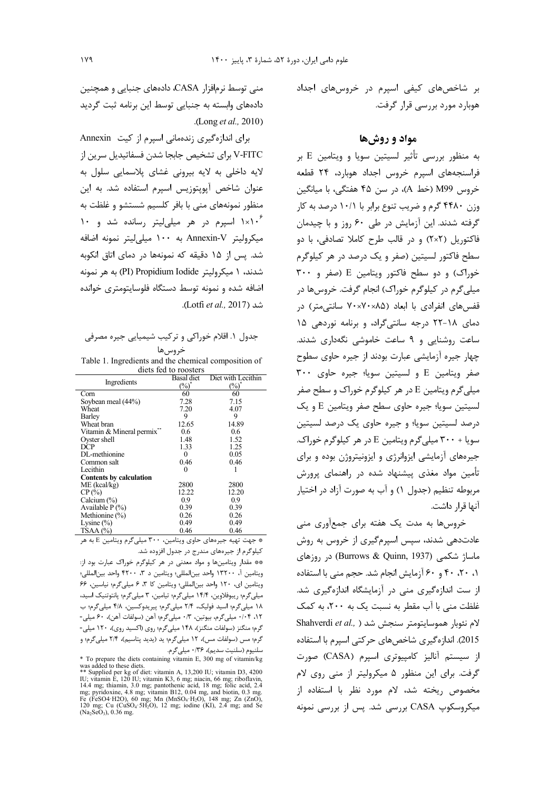بر شاخصهای کیفی اسپرم در خروسهای اجداد هوبارد مورد بررسی قرار گرفت.

## مواد و روش ها

به منظور بررسی تأثیر لسیتین سویا و ویتامین E بر فراسنجههای اسپرم خروس اجداد هوبارد، ۲۴ قطعه خروس M99 (خط A)، در سن ۴۵ هفتگی، با میانگین وزن ۴۴۸۰ گرم و ضریب تنوع برابر با ۱۰/۱ درصد به کار گرفته شدند. این آزمایش در طی ۶۰ روز و با چیدمان فاکتوریل (۲×۲) و در قالب طرح کاملا تصادفی، با دو سطح فاکتور لسیتین (صفر و یک درصد در هر کیلوگرم خوراک) و دو سطح فاکتور ویتامین E (صفر و ۳۰۰ میلی گرم در کیلوگرم خوراک) انجام گرفت. خروسها در قفسهای انفرادی با ابعاد (۷۰×۷۰×۷۰ سانتی متر) در دمای ۱۸-۲۲ درجه سانتی گراد، و برنامه نوردهی ۱۵ ساعت روشنایی و ۹ ساعت خاموشی نگهداری شدند. چهار جیره آزمایشی عبارت بودند از جیره حاوی سطوح صفر ويتامين E و لسيتين سويا؛ جيره حاوى ٣٠٠ میلی گرم ویتامین E در هر کیلوگرم خوراک و سطح صفر لسيتين سويا؛ جيره حاوي سطح صفر ويتامين E و يک درصد لسيتين سويا؛ و جيره حاوي يک درصد لسيتين سویا + ٣٠٠ میلی گرم ویتامین E در هر کیلوگرم خوراک. جیرههای آزمایشی ایزوانرژی و ایزونیتروژن بوده و برای تأمین مواد مغذی پیشنهاد شده در راهنمای پرورش مربوطه تنظیم (جدول ۱) و آب به صورت آزاد در اختیار آنها قرار داشت.

خروسها به مدت یک هفته برای جمع|وری منی عادتدهی شدند، سپس اسپرمگیری از خروس به روش ماساژ شکمی (Burrows & Quinn, 1937) در روزهای ۰، ۲۰، ۴۰ و ۶۰ آزمایش انجام شد. حجم منی با استفاده از ست اندازهگیری منی در آزمایشگاه اندازهگیری شد. غلظت منی با آب مقطر به نسبت یک به ۲۰۰، به کمک Shahverdi et al., ) الام نئوبار هموسایتومتر سنجش شد 2015). اندازهگیری شاخصهای حرکتی اسپرم با استفاده از سیستم آنالیز کامپیوتری اسپرم (CASA) صورت گرفت. برای این منظور ۵ میکرولیتر از منی روی لام مخصوص ریخته شد، لام مورد نظر با استفاده از میکروسکوپ CASA بررسی شد. پس از بررسی نمونه

منی توسط نرمافزار CASA، دادههای جنبایی و همچنین دادههای وابسته به جنبایی توسط این برنامه ثبت گردید .(Long et al., 2010)

برای اندازهگیری زندهمانی اسپرم از کیت Annexin V-FITC برای تشخیص جابجا شدن فسفاتیدیل سرین از لایه داخلی به لایه بیرونی غشای پلاسمایی سلول به عنوان شاخص آپوپتوزیس اسپرم استفاده شد. به این منظور نمونههای منی با بافر کلسیم شستشو و غلظت به ۱۰۶\*۱ اسپرم در هر میلی لیتر رسانده شد و ۱۰ میکرولیتر Annexin-V به ۱۰۰ میلی لیتر نمونه اضافه شد. پس از ۱۵ دقیقه که نمونهها در دمای اتاق انکوبه شدند، ۱ میکرولیتر PI) Propidium Iodide) به هر نمونه اضافه شده و نمونه توسط دستگاه فلوسایتومتری خوانده شد (Lotfi et al., 2017).

# جدول ۱. اقلام خوراکی و ترکیب شیمیایی جیره مصرفی ف وساها

Table 1. Ingredients and the chemical composition of diets fed to roosters

| Ingredients                    | <b>Basal</b> diet | Diet with Lecithin |  |  |
|--------------------------------|-------------------|--------------------|--|--|
|                                | (%)               | $(\%)$             |  |  |
| Corn                           | 60                | 60                 |  |  |
| Soybean meal (44%)             | 7.28              | 7.15               |  |  |
| Wheat                          | 7.20              | 4.07               |  |  |
| Barley                         | 9                 | 9                  |  |  |
| Wheat bran                     | 12.65             | 14.89              |  |  |
| Vitamin & Mineral permix**     | 0.6               | 0.6                |  |  |
| Oyster shell                   | 1.48              | 1.52               |  |  |
| DCP                            | 1.33              | 1.25               |  |  |
| DL-methionine                  | 0                 | 0.05               |  |  |
| Common salt                    | 0.46              | 0.46               |  |  |
| Lecithin                       | 0                 |                    |  |  |
| <b>Contents by calculation</b> |                   |                    |  |  |
| $ME$ (kcal/kg)                 | 2800              | 2800               |  |  |
| CP(%)                          | 12.22             | 12.20              |  |  |
| Calcium $(\% )$                | 0.9               | 0.9                |  |  |
| Available $P(\%)$              | 0.39              | 0.39               |  |  |
| Methionine $(\%)$              | 0.26              | 0.26               |  |  |
| Lysine $(\% )$                 | 0.49              | 0.49               |  |  |
| TSAA (%)                       | 0.46              | 0.46               |  |  |

\* جهت تهیه جیرههای حاوی ویتامین، ۳۰۰ میلی گرم ویتامین E به هر کیلوگرم از جیرههای مندرج در جدول افزوده شد.

\*\* مقدار ويتامينها و مواد معدني در هر كيلوگرم خوراک عبارت بود از: ويتامين أ، ١٣٢٠٠ واحد بين|لمللي؛ ويتامين د ٣، ۴٢٠٠ واحد بين|لمللي؛ ويتامين اي، ١٢٠ واحد بين المللي؛ ويتامين كا ٣، ۶ ميلي گرم؛ نياسين، ۶۶ میلیگرم؛ ریبوفلاوین، ۱۴/۴ میلیگرم؛ تیامین، ۳ میلیگرم؛ پانتوتنیک اسید، ۱۸ میلیگرم؛ اسید فولیک، ۲/۴ میلیگرم؛ پیریدوکسین، ۴/۸ میلیگرم؛ ب ١٢، ٠/٠۴ ميلي گرم، بيوتين، ٠/٣ ميلي گرم؛ آهن (سولفات آهن)، ۶۰ ميلي-گرم؛ منگنز (سولفات منگنز)، ۱۴۸ میلیگرم؛ روی (اکسید روی)، ۱۲۰ میلی-گرم؛ مس (سولفات مس)، ١٢ ميليگرم؛ يد (يديد پتاسيم)، ٢/۴ ميليگرم؛ و سلنيوم (سلنيت سديم)، ١٣۶٠ ميلي گرم.

was added to these diets containing vitamin E, 300 mg of vitamin/kg<br>was added to these diets.<br>
\*\* Supplied per kg of diet: vitamin A, 13,200 IU; vitamin B3, 4200<br>
IU; vitamin E, 120 IU; vitamin K3, 6 mg; niacin, 66 mg; ri

Fe (FeSO4·H2O), 60 mg; Mn (MnSO<sub>4</sub>·H<sub>2</sub>O), 148 mg; Zn (ZnO), 120 mg; Cu (CuSO<sub>4</sub>·5H<sub>2</sub>O), 12 mg; iodine (KI), 2.4 mg; and Se  $(Na_2SeO_3)$ , 0.36 mg.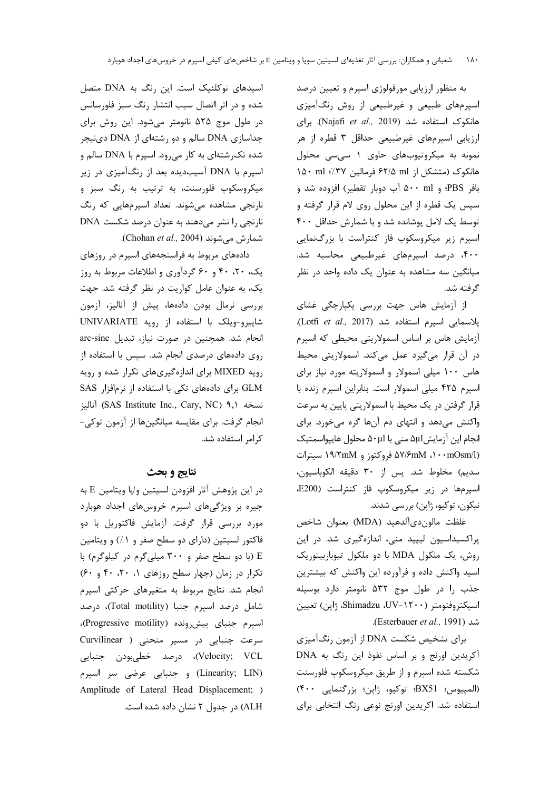به منظور ارزیابی مورفولوژی اسپرم و تعیین درصد اسپرمهای طبیعی و غیرطبیعی از روش رنگآمیزی هانكوك استفاده شد (Najafi et al., 2019). براى ارزیابی اسپرمهای غیرطبیعی حداقل ۳ قطره از هر نمونه به میکروتیوبهای حاوی ۱ سی سی محلول هانكوك (متشكل از ۶۲/۵ ml فرمالين ۳۷٪؛ nd۰ ml بافر PBS؛ و ۵۰۰ ml آب دوبار تقطیر) افزوده شد و سپس یک قطره از این محلول روی لام قرار گرفته و توسط یک لامل یوشانده شد و با شمارش حداقل ۴۰۰ اسپرم زیر میکروسکوپ فاز کنتراست با بزرگنمایی ۴۰۰، درصد اسپرمهای غیرطبیعی محاسبه شد. میانگین سه مشاهده به عنوان یک داده واحد در نظر گرفته شد.

از آزمایش هاس جهت بررسی یکپارچگی غشای پلاسمایی اسپرم استفاده شد (Lotfi et al., 2017). آزمایش هاس بر اساس اسمولاریتی محیطی که اسپرم در آن قرار میگیرد عمل میکند. اسمولاریتی محیط هاس ۱۰۰ میلی اسمولار و اسمولاریته مورد نیاز برای اسپرم ۴۲۵ میلی اسمولار است. بنابراین اسپرم زنده با قرار گرفتن در یک محیط با اسمولاریتی پایین به سرعت واکنش میدهد و انتهای دم آنها گره میخورد. برای انجام این آزمایش Δ+μl منی با Δ+μl محلول هایپواسمتیک (۵۷/۶mM ،۱۰۰mOsm/l) فروکتوز و ۱۹/۲mM سیترات سديم) مخلوط شد. پس از ۳۰ دقيقه انكوباسيون، اسپرمها در زیر میکروسکوپ فاز کنتراست (E200، نیکون، توکیو، ژاپن) بررسی شدند.

غلظت مالون دي آلدهيد (MDA) بعنوان شاخص پراکسیداسیون لیپید منی، اندازهگیری شد. در این روش، یک ملکول MDA با دو ملکول تیوباربیتوریک اسید واکنش داده و فرآورده این واکنش که بیشترین جذب را در طول موج ۵۳۲ نانومتر دارد بوسیله اسيكتروفتومتر (١٢٠٠-UV، UV، ژاپن) تعيين شد (Esterbauer et al., 1991).

برای تشخیص شکست DNA از آزمون رنگآمیزی آکریدین اورنج و بر اساس نفوذ این رنگ به DNA شکسته شده اسپرم و از طریق میکروسکوپ فلورسنت (المپیوس؛ BX51؛ توکیو، ژاپن؛ بزرگنمایی ۴۰۰) استفاده شد. اکریدین اورنج نوعی رنگ انتخابی برای

اسیدهای نوکلئیک است. این رنگ به DNA متصل شده و در اثر اتصال سبب انتشار رنگ سبز فلورسانس در طول موج ۵۲۵ نانومتر میشود. این روش برای جداسازی DNA سالم و دو رشتهای از DNA دینیچر شده تکرشتهای به کار می رود. اسپرم با DNA سالم و اسپرم با DNA آسیبدیده بعد از رنگآمیزی در زیر میکروسکوپ فلورسنت، به ترتیب به رنگ سبز و نارنجي مشاهده مي شوند. تعداد اسپرمهايي كه رنگ نارنجی را نشر میدهند به عنوان درصد شکست DNA شمارش میشوند (Chohan et al., 2004).

دادههای مربوط به فراسنجههای اسپرم در روزهای یک، ۲۰، ۴۰ و ۶۰ گردآوری و اطلاعات مربوط به روز یک، به عنوان عامل کواریت در نظر گرفته شد. جهت بررسی نرمال بودن دادهها، پیش از آنالیز، آزمون شاپیرو-ویلک با استفاده از رویه UNIVARIATE انجام شد. همچنین در صورت نیاز، تبدیل arc-sine روی دادههای درصدی انجام شد. سیس با استفاده از رویه MIXED برای اندازهگیریهای تکرار شده و رویه GLM برای دادههای تکی با استفاده از نرمافزار SAS نسخه (SAS Institute Inc., Cary, NC) ۹,۱ أناليز انجام گرفت. برای مقایسه میانگینها از آزمون توکی-كرامر استفاده شد.

# نتايج و بحث

 $\rm E$  در این پژوهش آثار افزودن لسیتین و/یا ویتامین  $\rm E$  به جیره بر ویژگیهای اسپرم خروسهای اجداد هوبارد مورد بررسی قرار گرفت. آزمایش فاکتوریل با دو فاکتور لسیتین (دارای دو سطح صفر و ۱٪) و ویتامین E (با دو سطح صفر و ۳۰۰ میلی گرم در کیلوگرم) با تکرار در زمان (چهار سطح روزهای ۰، ۲۰، ۴۰ و ۶۰) انجام شد. نتایج مربوط به متغیرهای حرکتی اسپرم شامل درصد اسپرم جنبا (Total motility)، درصد اسيرم جنباي پيش,ونده (Progressive motility)، سرعت جنبایی در مسیر منحنی ( Curvilinear Velocity; VCL)، درصد خطیبودن جنبایی (Linearity; LIN) وجنبايي عرضي سر اسپرم Amplitude of Lateral Head Displacement; ) ALH) در جدول ۲ نشان داده شده است.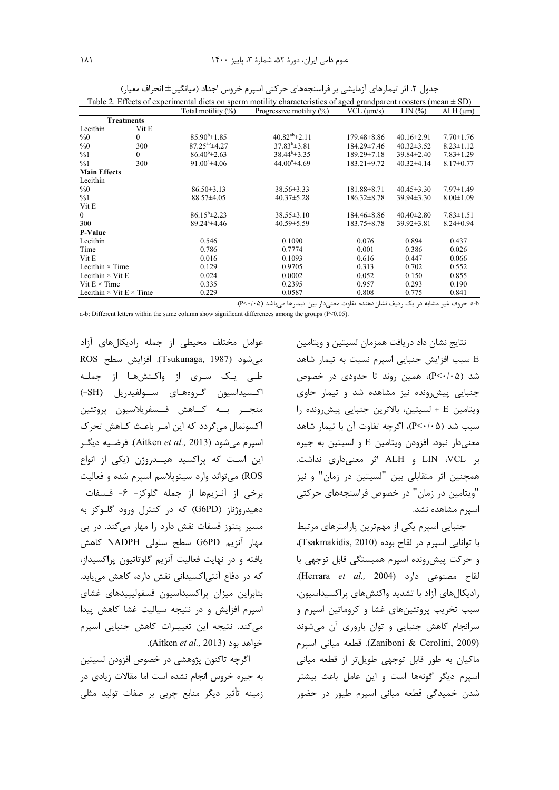| Table 2. Effects of experimental diets on sperm motility characteristics of aged grandparent roosters (mean $\pm$ SD) |          |                          |                             |                    |                  |                  |  |
|-----------------------------------------------------------------------------------------------------------------------|----------|--------------------------|-----------------------------|--------------------|------------------|------------------|--|
|                                                                                                                       |          | Total motility (%)       | Progressive motility $(\%)$ | $VCL$ ( $\mu$ m/s) | LIN(%)           | $ALH$ ( $\mu$ m) |  |
| <b>Treatments</b>                                                                                                     |          |                          |                             |                    |                  |                  |  |
| Lecithin                                                                                                              | Vit E    |                          |                             |                    |                  |                  |  |
| $\%0$                                                                                                                 | $\theta$ | $85.90^{\rm b} \pm 1.85$ | $40.82^{ab}$ ± 2.11         | 179.48±8.86        | $40.16 \pm 2.91$ | $7.70 \pm 1.76$  |  |
| %0                                                                                                                    | 300      | $87.25^{ab}$ ±4.27       | $37.83^b \pm 3.81$          | $184.29 \pm 7.46$  | $40.32 \pm 3.52$ | $8.23 \pm 1.12$  |  |
| %1                                                                                                                    | 0        | $86.40^{\rm b} \pm 2.63$ | $38.44^b \pm 3.35$          | $189.29 \pm 7.18$  | $39.84 \pm 2.40$ | $7.83 \pm 1.29$  |  |
| %1                                                                                                                    | 300      | $91.00^{\circ}$ ±4.06    | $44.00^{\circ}$ ±4.69       | $183.21 \pm 9.72$  | $40.32\pm4.14$   | $8.17 \pm 0.77$  |  |
| <b>Main Effects</b>                                                                                                   |          |                          |                             |                    |                  |                  |  |
| Lecithin                                                                                                              |          |                          |                             |                    |                  |                  |  |
| $\%0$                                                                                                                 |          | $86.50 \pm 3.13$         | $38.56 \pm 3.33$            | $181.88 \pm 8.71$  | $40.45 \pm 3.30$ | $7.97 \pm 1.49$  |  |
| %1                                                                                                                    |          | $88.57 \pm 4.05$         | $40.37 \pm 5.28$            | $186.32 \pm 8.78$  | $39.94 \pm 3.30$ | $8.00 \pm 1.09$  |  |
| Vit E                                                                                                                 |          |                          |                             |                    |                  |                  |  |
| $\mathbf{0}$                                                                                                          |          | $86.15^b \pm 2.23$       | $38.55 \pm 3.10$            | $184.46 \pm 8.86$  | $40.40 \pm 2.80$ | $7.83 \pm 1.51$  |  |
| 300                                                                                                                   |          | $89.24^{\circ}$ ±4.46    | $40.59 \pm 5.59$            | $183.75 \pm 8.78$  | $39.92 \pm 3.81$ | $8.24 \pm 0.94$  |  |
| <b>P-Value</b>                                                                                                        |          |                          |                             |                    |                  |                  |  |
| Lecithin                                                                                                              |          | 0.546                    | 0.1090                      | 0.076              | 0.894            | 0.437            |  |
| Time                                                                                                                  |          | 0.786                    | 0.7774                      | 0.001              | 0.386            | 0.026            |  |
| Vit E                                                                                                                 |          | 0.016                    | 0.1093                      | 0.616              | 0.447            | 0.066            |  |
| Lecithin $\times$ Time                                                                                                |          | 0.129                    | 0.9705                      | 0.313              | 0.702            | 0.552            |  |
| Lecithin $\times$ Vit E                                                                                               |          | 0.024                    | 0.0002                      | 0.052              | 0.150            | 0.855            |  |
| Vit $E \times Time$                                                                                                   |          | 0.335                    | 0.2395                      | 0.957<br>0.293     |                  | 0.190            |  |
| Lecithin $\times$ Vit E $\times$ Time                                                                                 |          | 0.229                    | 0.0587                      | 0.808              | 0.775            | 0.841            |  |

جدول ۲. اثر تیمارهای آزمایشی بر فراسنجههای حرکتی اسپرم خروس اجداد (میانگین±انحراف معیار)

a-b حروف غیر مشابه در یک ردیف نشاندهنده تفاوت معنیدار بین تیمارها میباشد (P<٠/٠۵).

a-b: Different letters within the same column show significant differences among the groups (P<0.05).

عوامل مختلف محيطى از جمله راديكالهاى آزاد ROS رسم (Tsukunaga, 1987). افزايش سطح طے یک سری از واکنشھا از جملـه اكسيداسيون گروههاى سولفيدريل (SH-) منجــر بـــه كـــاهش فـــسفريلاسيون پروتئين آکسونمال میگردد که این امر باعث کـاهش تحرک اسپرم می شود (Aitken *et al.,* 2013). فرضـيه ديگـر این است که پراکسید هیــدروژن (یکی از انواع ROS) میتواند وارد سیتوپلاسم اسپرم شده و فعالیت برخی از آنزیمها از جمله گلوکز- ۶- فـسفات دهیدروژناز (G6PD) که در کنترل ورود گلوکز به مسیر پنتوز فسفات نقش دارد را مهار میکند. در پی مهار آنزیم G6PD سطح سلولی NADPH کاهش یافته و در نهایت فعالیت آنزیم گلوتاتیون پراکسیداز، که در دفاع آنتی|کسیدانی نقش دارد، کاهش می یابد. بنابراين ميزان پراكسيداسيون فسفوليپيدهاى غشاى اسپرم افزایش و در نتیجه سیالیت غشا کاهش پیدا می کند. نتیجه این تغییرات کاهش جنبایی اسپرم .(Aitken et al., 2013).

اگرچه تاکنون پژوهشی در خصوص افزودن لسیتین به جیره خروس انجام نشده است اما مقالات زیادی در زمینه تأثیر دیگر منابع چربی بر صفات تولید مثلی

نتايج نشان داد دريافت همزمان لسيتين و ويتامين E سبب افزایش جنبایی اسپرم نسبت به تیمار شاهد شد (P<۰/۰۵)، همین روند تا حدودی در خصوص جنبایی پیش رونده نیز مشاهده شد و تیمار حاوی ويتامين E + لسيتين، بالاترين جنبايي پيش رونده را سبب شد (P<٠/٠۵)، اگرچه تفاوت آن با تیمار شاهد معنیدار نبود. افزودن ویتامین E و لسیتین به جیره بر LIN ،VCL و ALH اثر معنى دارى نداشت. همچنین اثر متقابلی بین "لسیتین در زمان" و نیز "ویتامین در زمان" در خصوص فراسنجههای حرکتی اسیرم مشاهده نشد.

جنبایی اسپرم یکی از مهمترین پارامترهای مرتبط با توانايي اسيرم در لقاح بوده (Tsakmakidis, 2010)، و حركت پيش, ونده اسيرم همبستگي قابل توجهي با لقاح مصنوعی دارد (Herrara et al., 2004). رادیکالهای آزاد با تشدید واکنشهای پراکسیداسیون، سبب تخریب پروتئینهای غشا و کروماتین اسپرم و سرانجام كاهش جنبايي وتوان بارورى آن مى شوند (Zaniboni & Cerolini, 2009). قطعه ميانى اسيرم ماکیان به طور قابل توجهی طویلتر از قطعه میانی اسيرم ديگر گونهها است و اين عامل باعث بيشتر شدن خمیدگی قطعه میانی اسیرم طیور در حضور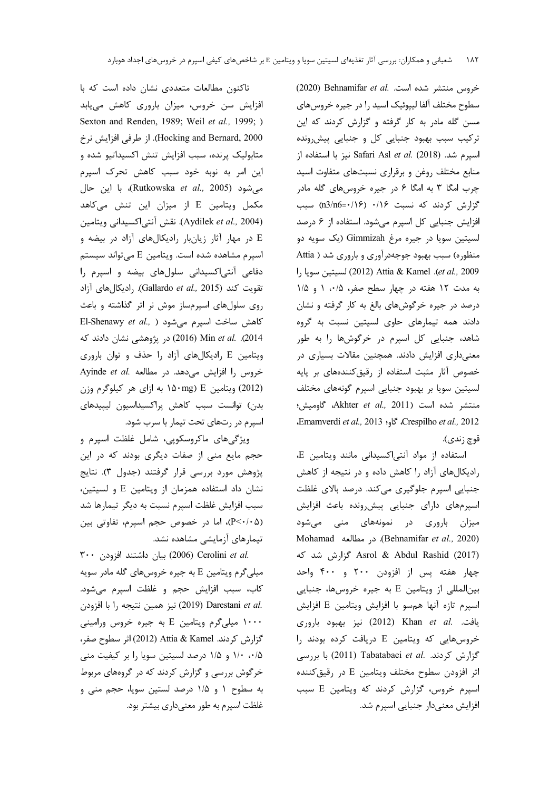تاکنون مطالعات متعددی نشان داده است که با افزایش سن خروس، میزان باروری کاهش مییابد Sexton and Renden, 1989; Weil et al., 1999; ) Hocking and Bernard, 2000). از طرفی افزایش نرخ متابولیک پرنده، سبب افزایش تنش اکسیداتیو شده و این امر به نوبه خود سبب کاهش تحرک اسپرم میشود (Rutkowska *et al.*, 2005)، با این حال مکمل ویتامین E از میزان این تنش میکاهد (Aydilek et al., 2004). نقش آنتی اکسیدانی ویتامین E در مهار آثار زیانبار رادیکالهای آزاد در بیضه و اسپرم مشاهده شده است. ويتامين E مىتواند سيستم دفاعی آنتیاکسیدانی سلولهای بیضه و اسپرم را تقويت كند (Gallardo et al., 2015). راديكال هاى آزاد روی سلولهای اسپرمساز موش نر اثر گذاشته و باعث El-Shenawy et al., ) كاهش ساخت اسپرم مى شود 2014). Min et al. (2016) در پژوهشی نشان دادند که ویتامین E رادیکالهای آزاد را حذف و توان باروری Ayinde et al. مطالعه Ayinde et al. (2012) ویتامین E (۱۵۰mg به ازای هر کیلوگرم وزن بدن) توانست سبب كاهش پراكسيداسيون ليپيدهاى اسپرم در رتهای تحت تیمار با سرب شود.

ویژگیهای ماکروسکویی، شامل غلظت اسپرم و حجم مایع منی از صفات دیگری بودند که در این پژوهش مورد بررسی قرار گرفتند (جدول ۳). نتایج نشان داد استفاده همزمان از ويتامين E و لسيتين، سبب افزایش غلظت اسپرم نسبت به دیگر تیمارها شد (P<٠/٠۵)، اما در خصوص حجم اسپرم، تفاوتی بین تیمارهای آزمایشی مشاهده نشد.

.Cerolini et al (2006) بيان داشتند افزودن ٣٠٠ میلی گرم ویتامین E به جیره خروسهای گله مادر سویه كاب، سبب افزايش حجم و غلظت اسپرم مى شود. :2019) Darestani et al. نيز همين نتيجه را با افزودن ۱۰۰۰ میلی گرم ویتامین E به جیره خروس ورامینی گزارش كردند. Attia & Kamel (2012) اثر سطوح صفر، ۱/۰ ۱/۵ و ۱/۵ درصد لسیتین سویا را بر کیفیت منی خرگوش بررسی و گزارش کردند که در گروههای مربوط به سطوح ١ و ١/٥ درصد لستين سويا، حجم منى و غلظت اسیرم به طور معنیداری بیشتر بود.

خروس منتشر شده است. .Behnamifar et al (2020) سطوح مختلف آلفا ليپوئيک اسيد را در جيره خروسهاي مسن گله مادر به کار گرفته و گزارش کردند که این ترکیب سبب بهبود جنبایی کل و جنبایی پیش رونده اسپرم شد. (2018) Safari Asl et al. (2018 نيز با استفاده از منابع مختلف روغن وبرقرارى نسبتهاى متفاوت اسيد چرب امگا ۳ به امگا ۶ در جیره خروسهای گله مادر گزارش کردند که نسبت ۰/۱۶ (n3/n6=۰/۱۶) سبب افزایش جنبایی کل اسپرم می شود. استفاده از ۶ درصد لسيتين سويا در جيره مرغ Gimmizah (يک سويه دو منظوره) سبب بهبود جوجهدرآوری و باروری شد ( Attia et al., 2009). Attia & Kamel (2012) لسيتين سويا را به مدت ١٢ هفته در چهار سطح صفر، ١،٥، ١ و ١١٥ درصد در جیره خرگوشهای بالغ به کار گرفته و نشان دادند همه تیمارهای حاوی لسیتین نسبت به گروه شاهد، جنبایی کل اسپرم در خرگوشها را به طور معنیداری افزایش دادند. همچنین مقالات بسیاری در خصوص آثار مثبت استفاده از رقیق کنندههای بر پایه لسیتین سویا بر بهبود جنبایی اسپرم گونههای مختلف منتشر شده است (Akhter et al., 2011، كاوميش؛ Emamverdi et al., 2013 \$J. Crespilho et al., 2012 قوچ زندي).

استفاده از مواد آنتی اکسیدانی مانند ویتامین E، رادیکالهای آزاد را کاهش داده و در نتیجه از کاهش جنبایی اسپرم جلوگیری میکند. درصد بالای غلظت اسپرمهای دارای جنبایی پیش رونده باعث افزایش میزان باروری در نمونههای منی میشود Mohamad (Behnamifar et al., 2020). در مطالعه Asrol & Abdul Rashid (2017) گزارش شد که چهار هفته پس از افزودن ۲۰۰ و ۴۰۰ واحد بین المللی از ویتامین E به جیره خروسها، جنبایی اسپرم تازه آنها همسو با افزایش ویتامین E افزایش يافت. .Khan et al (2012) نيز بهبود باروري خروس هایی که ویتامین E دریافت کرده بودند را گزارش کردند. .Tabatabaei et al (2011) با بررسی اثر افزودن سطوح مختلف ويتامين E در رقيق كننده اسپرم خروس، گزارش کردند که ویتامین E سبب افزایش معنیدار جنبایی اسپرم شد.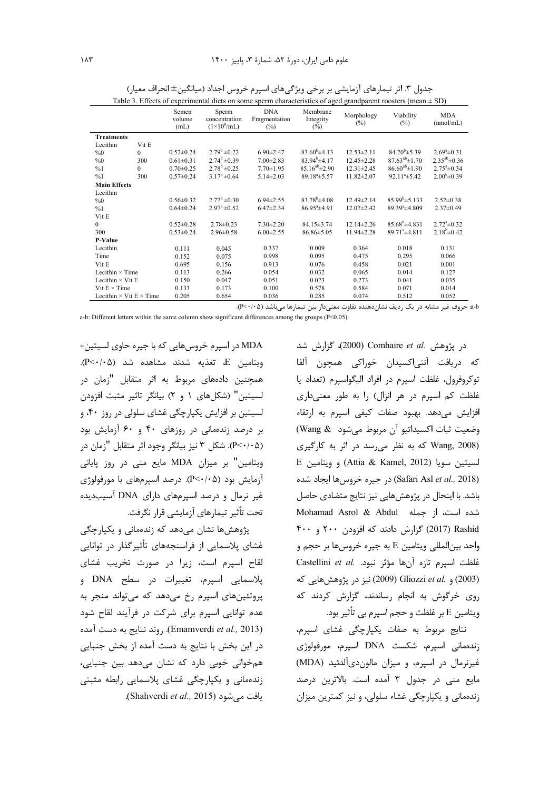| Table 3. Effects of experimental diets on some sperm characteristics of aged grandparent roosters (mean $\pm$ SD) |          |                         |                                                     |                                       |                                 |                      |                           |                         |
|-------------------------------------------------------------------------------------------------------------------|----------|-------------------------|-----------------------------------------------------|---------------------------------------|---------------------------------|----------------------|---------------------------|-------------------------|
|                                                                                                                   |          | Semen<br>volume<br>(mL) | Sperm<br>concentration<br>$(1\times10^9/\text{mL})$ | <b>DNA</b><br>Fragmentation<br>$(\%)$ | Membrane<br>Integrity<br>$(\%)$ | Morphology<br>$(\%)$ | Viability<br>(%)          | MDA<br>(mmol/mL)        |
| <b>Treatments</b>                                                                                                 |          |                         |                                                     |                                       |                                 |                      |                           |                         |
| Lecithin                                                                                                          | Vit E    |                         |                                                     |                                       |                                 |                      |                           |                         |
| $\%0$                                                                                                             | $\Omega$ | $0.52 \pm 0.24$         | $2.79^b \pm 0.22$                                   | $6.90 \pm 2.47$                       | $83.60^b \pm 4.13$              | $12.53 \pm 2.11$     | $84.20^{b} \pm 5.39$      | $2.69^a \pm 0.31$       |
| %0                                                                                                                | 300      | $0.61 \pm 0.31$         | $2.74^b \pm 0.39$                                   | $7.00 \pm 2.83$                       | $83.94^{b} \pm 4.17$            | $12.45 \pm 2.28$     | $87.63^{ab} \pm 1.70$     | $2.35^{ab} \pm 0.36$    |
| %1                                                                                                                | $\Omega$ | $0.70 \pm 0.25$         | $2.78^b \pm 0.25$                                   | $7.70 \pm 1.95$                       | $85.16^{ab} \pm 2.90$           | $12.31 \pm 2.45$     | $86.60^{ab} \pm 1.90$     | $2.75^{\circ}$ ±0.34    |
| %1                                                                                                                | 300      | $0.57 \pm 0.24$         | $3.17^a \pm 0.64$                                   | $5.14 \pm 2.03$                       | $89.18^{a} \pm 5.57$            | $11.82 \pm 2.07$     | $92.11^a \pm 5.42$        | $2.00^{\rm b} \pm 0.39$ |
| <b>Main Effects</b>                                                                                               |          |                         |                                                     |                                       |                                 |                      |                           |                         |
| Lecithin                                                                                                          |          |                         |                                                     |                                       |                                 |                      |                           |                         |
| %0                                                                                                                |          | $0.56 \pm 0.32$         | $2.77^b \pm 0.30$                                   | $6.94 \pm 2.55$                       | $83.78^b \pm 4.08$              | 12.49±2.14           | $85.99^b \pm 5.133$       | $2.52 \pm 0.38$         |
| %1                                                                                                                |          | $0.64 \pm 0.24$         | $2.97^{\rm a}$ ±0.52                                | $6.47 \pm 2.34$                       | $86.95^{\circ}$ ±4.91           | $12.07 \pm 2.42$     | $89.39^a \pm 4.809$       | $2.37\pm0.49$           |
| Vit E                                                                                                             |          |                         |                                                     |                                       |                                 |                      |                           |                         |
| $\theta$                                                                                                          |          | $0.52 \pm 0.28$         | $2.78 \pm 0.23$                                     | $7.30 \pm 2.20$                       | $84.15 \pm 3.74$                | $12.14 \pm 2.26$     | $85.68^b \pm 4.831$       | $2.72^{\circ}$ ±0.32    |
| 300                                                                                                               |          | $0.53 \pm 0.24$         | $2.96 \pm 0.58$                                     | $6.00 \pm 2.55$                       | $86.86 \pm 5.05$                | $11.94 \pm 2.28$     | 89.71 <sup>a</sup> ±4.811 | $2.18^b \pm 0.42$       |
| P-Value                                                                                                           |          |                         |                                                     |                                       |                                 |                      |                           |                         |
| Lecithin                                                                                                          |          | 0.111                   | 0.045                                               | 0.337                                 | 0.009                           | 0.364                | 0.018                     | 0.131                   |
| Time                                                                                                              |          | 0.152                   | 0.075                                               | 0.998                                 | 0.095                           | 0.475                | 0.295                     | 0.066                   |
| Vit E                                                                                                             |          | 0.695                   | 0.156                                               | 0.913                                 | 0.076                           | 0.458                | 0.021                     | 0.001                   |
| Lecithin $\times$ Time                                                                                            |          | 0.113                   | 0.266                                               | 0.054                                 | 0.032                           | 0.065                | 0.014                     | 0.127                   |
| Lecithin $\times$ Vit E                                                                                           |          | 0.150                   | 0.047                                               | 0.051                                 | 0.023                           | 0.273                | 0.041                     | 0.035                   |
| Vit $E \times Time$                                                                                               |          | 0.133                   | 0.173                                               | 0.100                                 | 0.578                           | 0.584                | 0.071                     | 0.014                   |
| Lecithin $\times$ Vit E $\times$ Time                                                                             |          | 0.205                   | 0.654                                               | 0.036                                 | 0.285                           | 0.074                | 0.512                     | 0.052                   |

جدول ٣. اثر تيمارهاي آزمايشي بر برخي ويژگيهاي اسپرم خروس اجداد (ميانگين± انحراف معيار)

a-b: حروف غير مشابه در يک رديف نشان دهنده تفاوت معنىدار بين تيمارها مي باشد (P<٠/٠۵).

a-b: Different letters within the same column show significant differences among the groups (P<0.05).

MDA در اسپرم خروسهایی که با جیره حاوی لسیتین+ ويتامين E، تغذيه شدند مشاهده شد (P<٠/٠۵). همچنین دادههای مربوط به اثر متقابل "زمان در لسيتين" (شكلهاي ١ و ٢) بيانگر تاثير مثبت افزودن لسيتين بر افزايش يکپارچگي غشاي سلولي در روز ۴۰، و بر درصد زندهمانی در روزهای ۴۰ و ۶۰ آزمایش بود (P<۰/۰۵). شکل ۳ نیز بیانگر وجود اثر متقابل "زمان در ویتامین" بر میزان MDA مایع منی در روز پایانی آزمایش بود (P<۰/۰۵). درصد اسپرمهای با مورفولوژی غیر نرمال و درصد اسپرمهای دارای DNA آسیبدیده تحت تأثير تيمارهاي آزمايشي قرار نگرفت.

یژوهش ها نشان می دهد که زندهمانی و یکیارچگی غشای پلاسمایی از فراسنجههای تأثیرگذار در توانایی لقاح اسپرم است، زیرا در صورت تخریب غشای پلاسمایی اسپرم، تغییرات در سطح DNA و پروتئینهای اسپرم رخ میدهد که میتواند منجر به عدم توانایی اسیرم برای شرکت در فرآیند لقاح شود (Emamverdi et al., 2013). روند نتايج به دست آمده در این بخش با نتایج به دست آمده از بخش جنبایی همخوانی خوبی دارد که نشان میدهد بین جنبایی، زندهمانی و یکپارچگی غشای پلاسمایی رابطه مثبتی .(Shahverdi et al., 2015).

در يژوهش .Comhaire et al (2000)، گزارش شد كه دريافت آنتى|كسيدان خوراكي همچون آلفا توكروفرول، غلظت اسپرم در افراد اليگواسپرم (تعداد يا غلظت کم اسپرم در هر انزال) را به طور معنیداری افزایش میدهد. بهبود صفات کیفی اسپرم به ارتقاء وضعيت ثبات اكسيداتيو آن مربوط مى شود Wang & Wang, 2008) که به نظر می رسد در اثر به کارگیری E ويتامين سويا (Attia & Kamel, 2012) و ويتامين (Safari Asl et al., 2018) در جيره خروس ها ايجاد شده باشد. با اینحال در پژوهشهایی نیز نتایج متضادی حاصل شده است، از جمله Mohamad Asrol & Abdul 2017) Rashid (2017) گزارش دادند که افزودن ۲۰۰ و ۴۰۰ واحد بين|لمللي ويتامين E به جيره خروسها بر حجم و Sustellini et al. مؤثر نبود. Castellini et al. (2003) و .Gliozzi et al (2009) نيز در پژوهش هايي كه روی خرگوش به انجام رساندند، گزارش کردند که ويتامين E بر غلظت و حجم اسيرم بي تأثير بود.

نتايج مربوط به صفات يكپارچگى غشاى اسپرم، زندهمانی اسیرم، شکست DNA اسپرم، مورفولوژی غيرنرمال در اسيرم، و ميزان مالون دي آلدئيد (MDA) مايع منى در جدول ٣ آمده است. بالاترين درصد زندهمانی و یکپارچگی غشاء سلولی، و نیز کمترین میزان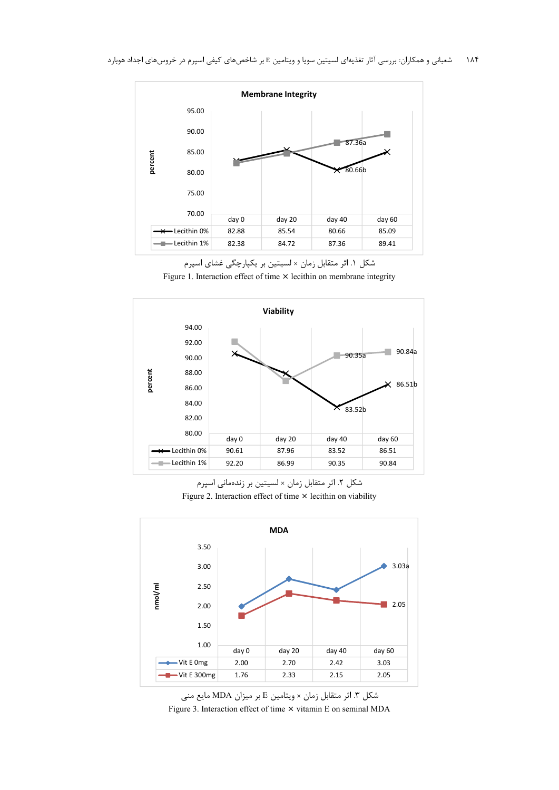

شکل ۱. اثر متقابل زمان × لسیتین بر یکپارچگی غشای اسپرم





شکل ۲. اثر متقابل زمان × لسیتین بر زندهمانی اسپرم Figure 2. Interaction effect of time × lecithin on viability



شكل ٣. اثر متقابل زمان × ويتامين E بر ميزان MDA مايع منى Figure 3. Interaction effect of time × vitamin E on seminal MDA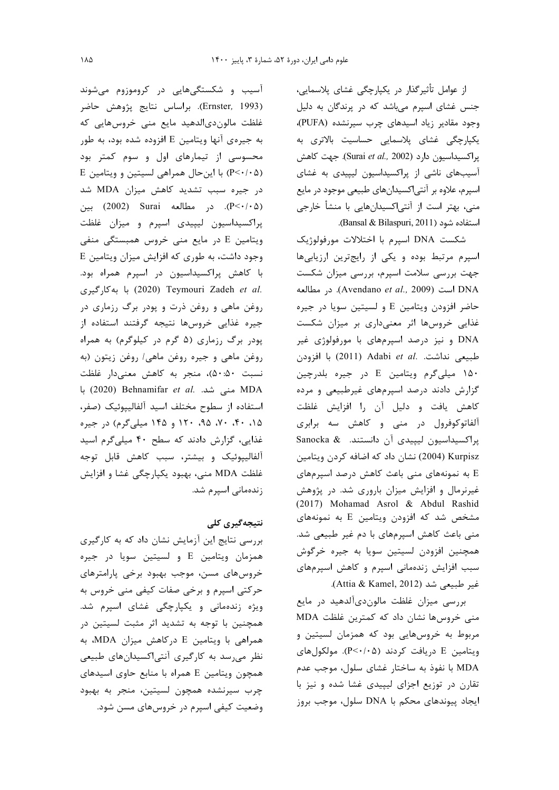از عوامل تأثیرگذار در یکپارچگی غشای پلاسمایی، جنس غشای اسپرم میباشد که در پرندگان به دلیل وجود مقادير زياد اسيدهاى چرب سيرنشده (PUFA)، یکپارچگی غشای پلاسمایی حساسیت بالاتری به پراکسیداسیون دارد (Surai et al., 2002). جهت کاهش آسیبهای ناشی از پراکسیداسیون لیپیدی به غشای اسپرم، علاوه بر آنتی|کسیدانهای طبیعی موجود در مایع منی، بهتر است از آنتی|کسیدانهایی با منشأ خارجی استفاده شود (Bansal & Bilaspuri, 2011).

شكست DNA اسپرم با اختلالات مورفولوژيک اسپرم مرتبط بوده و یکی از رایج ترین ارزیابیها جهت بررسی سلامت اسپرم، بررسی میزان شکست است (Avendano et al., 2009). در مطالعه حاضر افزودن ويتامين E و لسيتين سويا در جيره غذایی خروسها اثر معنیداری بر میزان شکست DNA و نیز درصد اسپرمهای با مورفولوژی غیر طبیعی نداشت. .Adabi et al (2011) با افزودن ۱۵۰ میلی گرم ویتامین E در جیره بلدرچین گزارش دادند درصد اسپرمهای غیرطبیعی و مرده کاهش یافت و دلیل آن را افزایش غلظت آلفاتوکوفرول در منی و کاهش سه برابری يراكسيداسيون ليپيدى آن دانستند. Sanocka & Kurpisz (2004) نشان داد که اضافه کردن ویتامین E به نمونههای منی باعث کاهش درصد اسپرمهای غیرنرمال و افزایش میزان باروری شد. در پژوهش (2017) Mohamad Asrol & Abdul Rashid مشخص شد که افزودن ویتامین E به نمونههای منی باعث کاهش اسپرمهای با دم غیر طبیعی شد. همچنین افزودن لسیتین سویا به جیره خرگوش سبب افزایش زندهمانی اسپرم و کاهش اسپرمهای غير طبيعي شد (Attia & Kamel, 2012).

بررسی میزان غلظت مالون دیآلدهید در مایع منی خروسها نشان داد که کمترین غلظت MDA مربوط به خروسهایی بود که همزمان لسیتین و ويتامين E دريافت كردند (P<٠/٠۵). مولكول هاي MDA با نفوذ به ساختار غشای سلول، موجب عدم تقارن در توزیع اجزای لیپیدی غشا شده و نیز با ايجاد پيوندهاى محكم با DNA سلول، موجب بروز

آسیب و شکستگیهایی در کروموزوم میشوند (Ernster, 1993). براساس نتايج پژوهش حاضر غلظت مالون دیالدهید مایع منی خروسهایی که به جیرهی آنها ویتامین E افزوده شده بود، به طور محسوسی از تیمارهای اول و سوم کمتر بود E این حال همراهی لسیتین و ویتامین E (P<٠/٠۵) در جیره سبب تشدید کاهش میزان MDA شد بين (P< $\cdot$ /•>P). در مطالعه Surai (2002) بين پراکسیداسیون لیپیدی اسپرم و میزان غلظت ویتامین E در مایع منی خروس همبستگی منفی B وجود داشت، به طوری که افزایش میزان ویتامین با کاهش پراکسیداسیون در اسپرم همراه بود. .2020) Teymouri Zadeh et al. (2020) با به كاركيرى روغن ماهی و روغن ذرت و پودر برگ رزماری در جيره غذايي خروسها نتيجه گرفتند استفاده از پودر برگ رزماری (۵ گرم در کیلوگرم) به همراه روغن ماهي و جيره روغن ماهي/ روغن زيتون (به نسبت ۵۰:۵۰)، منجر به کاهش معنیدار غلظت با MDA منبی شد. .Behnamifar *et al* منبی شد. .ADA استفاده از سطوح مختلف اسيد آلفالييوئيک (صفر، ۰۱۵، ۴۰، ۰۷، ۹۵، ۱۲۰ و ۱۴۵ میلی گرم) در جیره غذایی، گزارش دادند که سطح ۴۰ میلیگرم اسید آلفاليپوئيک و بيشتر، سبب كاهش قابل توجه غلظت MDA مني، بهبود يكپارچگي غشا و افزايش زندهمانی اسپرم شد.

## نتیجەگیری کلی

بررسی نتایج این آزمایش نشان داد که به کارگیری همزمان ويتامين E و لسيتين سويا در جيره خروسهای مسن، موجب بهبود برخی پارامترهای حرکتی اسپرم و برخی صفات کیفی منی خروس به ویژه زندهمانی و یکپارچگی غشای اسپرم شد. همچنین با توجه به تشدید اثر مثبت لسیتین در همراهی با ویتامین E درکاهش میزان MDA، به نظر می رسد به کارگیری آنتیاکسیدانهای طبیعی همچون ویتامین E همراه با منابع حاوی اسیدهای چرب سيرنشده همچون لسيتين، منجر به بهبود وضعیت کیفی اسپرم در خروسهای مسن شود.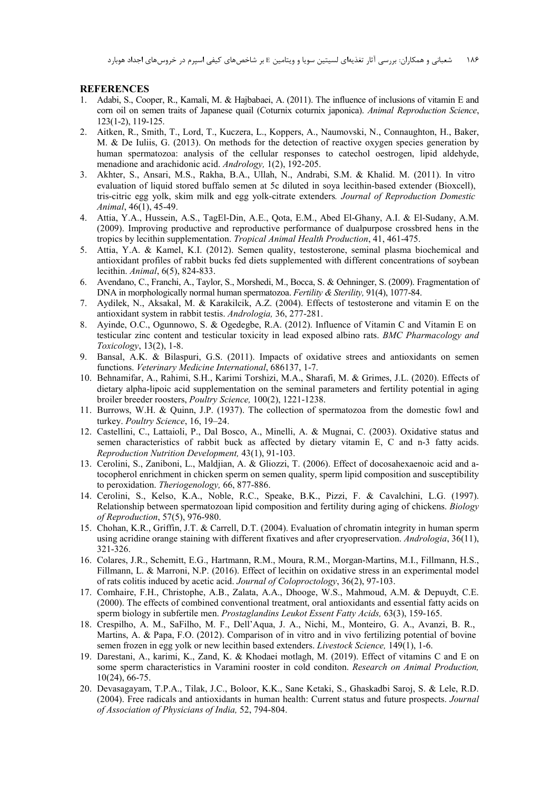#### **REFERENCES**

- 1. Adabi, S., Cooper, R., Kamali, M. & Hajbabaei, A. (2011). The influence of inclusions of vitamin E and corn oil on semen traits of Japanese quail (Coturnix coturnix japonica). *Animal Reproduction Science*, 123(1-2), 119-125.
- 2. Aitken, R., Smith, T., Lord, T., Kuczera, L., Koppers, A., Naumovski, N., Connaughton, H., Baker, M. & De Iuliis, G. (2013). On methods for the detection of reactive oxygen species generation by human spermatozoa: analysis of the cellular responses to catechol oestrogen, lipid aldehyde, menadione and arachidonic acid. *Andrology,* 1(2), 192-205.
- 3. Akhter, S., Ansari, M.S., Rakha, B.A., Ullah, N., Andrabi, S.M. & Khalid. M. (2011). In vitro evaluation of liquid stored buffalo semen at 5c diluted in soya lecithin-based extender (Bioxcell), tris-citric egg yolk, skim milk and egg yolk-citrate extenders*. Journal of Reproduction Domestic Animal*, 46(1), 45-49.
- 4. Attia, Y.A., Hussein, A.S., TagEl-Din, A.E., Qota, E.M., Abed El-Ghany, A.I. & El-Sudany, A.M. (2009). Improving productive and reproductive performance of dualpurpose crossbred hens in the tropics by lecithin supplementation. *Tropical Animal Health Production*, 41, 461-475.
- 5. Attia, Y.A. & Kamel, K.I. (2012). Semen quality, testosterone, seminal plasma biochemical and antioxidant profiles of rabbit bucks fed diets supplemented with different concentrations of soybean lecithin. *Animal*, 6(5), 824-833.
- 6. Avendano, C., Franchi, A., Taylor, S., Morshedi, M., Bocca, S. & Oehninger, S. (2009). Fragmentation of DNA in morphologically normal human spermatozoa. *Fertility & Sterility,* 91(4), 1077-84.
- 7. Aydilek, N., Aksakal, M. & Karakilcik, A.Z. (2004). Effects of testosterone and vitamin E on the antioxidant system in rabbit testis. *Andrologia,* 36, 277-281.
- 8. Ayinde, O.C., Ogunnowo, S. & Ogedegbe, R.A. (2012). Influence of Vitamin C and Vitamin E on testicular zinc content and testicular toxicity in lead exposed albino rats. *BMC Pharmacology and Toxicology*, 13(2), 1-8.
- 9. Bansal, A.K. & Bilaspuri, G.S. (2011). Impacts of oxidative strees and antioxidants on semen functions. *Veterinary Medicine International*, 686137, 1-7.
- 10. Behnamifar, A., Rahimi, S.H., Karimi Torshizi, M.A., Sharafi, M. & Grimes, J.L. (2020). Effects of dietary alpha-lipoic acid supplementation on the seminal parameters and fertility potential in aging broiler breeder roosters, *Poultry Science,* 100(2), 1221-1238.
- 11. Burrows, W.H. & Quinn, J.P. (1937). The collection of spermatozoa from the domestic fowl and turkey. *Poultry Science*, 16, 19–24.
- 12. Castellini, C., Lattaioli, P., Dal Bosco, A., Minelli, A. & Mugnai, C. (2003). Oxidative status and semen characteristics of rabbit buck as affected by dietary vitamin E, C and n-3 fatty acids. *Reproduction Nutrition Development,* 43(1), 91-103.
- 13. Cerolini, S., Zaniboni, L., Maldjian, A. & Gliozzi, T. (2006). Effect of docosahexaenoic acid and atocopherol enrichment in chicken sperm on semen quality, sperm lipid composition and susceptibility to peroxidation. *Theriogenology,* 66, 877-886.
- 14. Cerolini, S., Kelso, K.A., Noble, R.C., Speake, B.K., Pizzi, F. & Cavalchini, L.G. (1997). Relationship between spermatozoan lipid composition and fertility during aging of chickens. *Biology of Reproduction*, 57(5), 976-980.
- 15. Chohan, K.R., Griffin, J.T. & Carrell, D.T. (2004). Evaluation of chromatin integrity in human sperm using acridine orange staining with different fixatives and after cryopreservation. *Andrologia*, 36(11), 321-326.
- 16. Colares, J.R., Schemitt, E.G., Hartmann, R.M., Moura, R.M., Morgan-Martins, M.I., Fillmann, H.S., Fillmann, L. & Marroni, N.P. (2016). Effect of lecithin on oxidative stress in an experimental model of rats colitis induced by acetic acid. *Journal of Coloproctology*, 36(2), 97-103.
- 17. Comhaire, F.H., Christophe, A.B., Zalata, A.A., Dhooge, W.S., Mahmoud, A.M. & Depuydt, C.E. (2000). The effects of combined conventional treatment, oral antioxidants and essential fatty acids on sperm biology in subfertile men. *Prostaglandins Leukot Essent Fatty Acids,* 63(3), 159-165.
- 18. Crespilho, A. M., SaFilho, M. F., Dell'Aqua, J. A., Nichi, M., Monteiro, G. A., Avanzi, B. R., Martins, A. & Papa, F.O. (2012). Comparison of in vitro and in vivo fertilizing potential of bovine semen frozen in egg yolk or new lecithin based extenders. *Livestock Science,* 149(1), 1-6.
- 19. Darestani, A., karimi, K., Zand, K. & Khodaei motlagh, M. (2019). Effect of vitamins C and E on some sperm characteristics in Varamini rooster in cold conditon. *Research on Animal Production,* 10(24), 66-75.
- 20. Devasagayam, T.P.A., Tilak, J.C., Boloor, K.K., Sane Ketaki, S., Ghaskadbi Saroj, S. & Lele, R.D. (2004). Free radicals and antioxidants in human health: Current status and future prospects. *Journal of Association of Physicians of India,* 52, 794-804.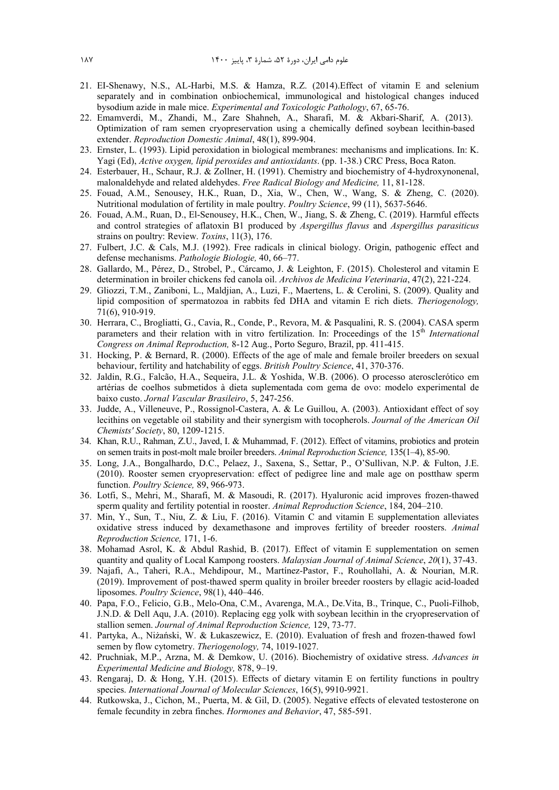- 21. EI-Shenawy, N.S., AL-Harbi, M.S. & Hamza, R.Z. (2014).Effect of vitamin E and selenium separately and in combination onbiochemical, immunological and histological changes induced bysodium azide in male mice. *Experimental and Toxicologic Pathology*, 67, 65-76.
- 22. Emamverdi, M., Zhandi, M., Zare Shahneh, A., Sharafi, M. & Akbari-Sharif, A. (2013). Optimization of ram semen cryopreservation using a chemically defined soybean lecithin-based extender. *Reproduction Domestic Animal*, 48(1), 899-904.
- 23. Ernster, L. (1993). Lipid peroxidation in biological membranes: mechanisms and implications. In: K. Yagi (Ed), *Active oxygen, lipid peroxides and antioxidants*. (pp. 1-38.) CRC Press, Boca Raton.
- 24. Esterbauer, H., Schaur, R.J. & Zollner, H. (1991). Chemistry and biochemistry of 4-hydroxynonenal, malonaldehyde and related aldehydes. *Free Radical Biology and Medicine,* 11, 81-128.
- 25. Fouad, A.M., Senousey, H.K., Ruan, D., Xia, W., Chen, W., Wang, S. & Zheng, C. (2020). Nutritional modulation of fertility in male poultry. *Poultry Science*, 99 (11), 5637-5646.
- 26. Fouad, A.M., Ruan, D., El-Senousey, H.K., Chen, W., Jiang, S. & Zheng, C. (2019). Harmful effects and control strategies of aflatoxin B1 produced by *Aspergillus flavus* and *Aspergillus parasiticus* strains on poultry: Review. *Toxins*, 11(3), 176.
- 27. Fulbert, J.C. & Cals, M.J. (1992). Free radicals in clinical biology. Origin, pathogenic effect and defense mechanisms. *Pathologie Biologie,* 40, 66–77.
- 28. Gallardo, M., Pérez, D., Strobel, P., Cárcamo, J. & Leighton, F. (2015). Cholesterol and vitamin E determination in broiler chickens fed canola oil. *Archivos de Medicina Veterinaria*, 47(2), 221-224.
- 29. Gliozzi, T.M., Zaniboni, L., Maldjian, A., Luzi, F., Maertens, L. & Cerolini, S. (2009). Quality and lipid composition of spermatozoa in rabbits fed DHA and vitamin E rich diets. *Theriogenology,* 71(6), 910-919.
- 30. Herrara, C., Brogliatti, G., Cavia, R., Conde, P., Revora, M. & Pasqualini, R. S. (2004). CASA sperm parameters and their relation with in vitro fertilization. In: Proceedings of the 15<sup>th</sup> *International Congress on Animal Reproduction,* 8-12 Aug., Porto Seguro, Brazil, pp. 411-415.
- 31. Hocking, P. & Bernard, R. (2000). Effects of the age of male and female broiler breeders on sexual behaviour, fertility and hatchability of eggs. *British Poultry Science*, 41, 370-376.
- 32. Jaldin, R.G., Falcão, H.A., Sequeira, J.L. & Yoshida, W.B. (2006). O processo aterosclerótico em artérias de coelhos submetidos à dieta suplementada com gema de ovo: modelo experimental de baixo custo. *Jornal Vascular Brasileiro*, 5, 247-256.
- 33. Judde, A., Villeneuve, P., Rossignol-Castera, A. & Le Guillou, A. (2003). Antioxidant effect of soy lecithins on vegetable oil stability and their synergism with tocopherols. *Journal of the American Oil Chemists' Society*, 80, 1209-1215.
- 34. Khan, R.U., Rahman, Z.U., Javed, I. & Muhammad, F. (2012). Effect of vitamins, probiotics and protein on semen traits in post-molt male broiler breeders. *Animal Reproduction Science,* 135(1–4), 85-90.
- 35. Long, J.A., Bongalhardo, D.C., Pelaez, J., Saxena, S., Settar, P., O'Sullivan, N.P. & Fulton, J.E. (2010). Rooster semen cryopreservation: effect of pedigree line and male age on postthaw sperm function. *Poultry Science,* 89, 966-973.
- 36. Lotfi, S., Mehri, M., Sharafi, M. & Masoudi, R. (2017). Hyaluronic acid improves frozen-thawed sperm quality and fertility potential in rooster. *Animal Reproduction Science*, 184, 204–210.
- 37. Min, Y., Sun, T., Niu, Z. & Liu, F. (2016). Vitamin C and vitamin E supplementation alleviates oxidative stress induced by dexamethasone and improves fertility of breeder roosters. *Animal Reproduction Science,* 171, 1-6.
- 38. Mohamad Asrol, K. & Abdul Rashid, B. (2017). Effect of vitamin E supplementation on semen quantity and quality of Local Kampong roosters. *Malaysian Journal of Animal Science*, *20*(1), 37-43.
- 39. Najafi, A., Taheri, R.A., Mehdipour, M., Martínez-Pastor, F., Rouhollahi, A. & Nourian, M.R. (2019). Improvement of post-thawed sperm quality in broiler breeder roosters by ellagic acid-loaded liposomes. *Poultry Science*, 98(1), 440–446.
- 40. Papa, F.O., Felicio, G.B., Melo-Ona, C.M., Avarenga, M.A., De.Vita, B., Trinque, C., Puoli-Filhob, J.N.D. & Dell Aqu, J.A. (2010). Replacing egg yolk with soybean lecithin in the cryopreservation of stallion semen. *Journal of Animal Reproduction Science,* 129, 73-77.
- 41. Partyka, A., Niżański, W. & Łukaszewicz, E. (2010). Evaluation of fresh and frozen-thawed fowl semen by flow cytometry. *Theriogenology,* 74, 1019-1027.
- 42. Pruchniak, M.P., Arzna, M. & Demkow, U. (2016). Biochemistry of oxidative stress. *Advances in Experimental Medicine and Biology,* 878, 9–19.
- 43. Rengaraj, D. & Hong, Y.H. (2015). Effects of dietary vitamin E on fertility functions in poultry species. *International Journal of Molecular Sciences*, 16(5), 9910-9921.
- 44. Rutkowska, J., Cichon, M., Puerta, M. & Gil, D. (2005). Negative effects of elevated testosterone on female fecundity in zebra finches. *Hormones and Behavior*, 47, 585-591.